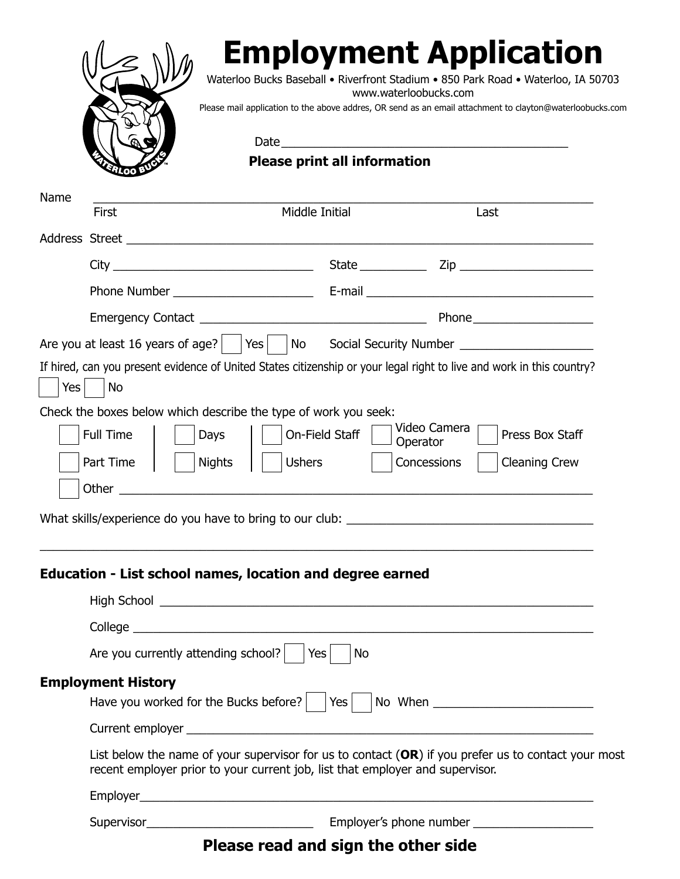

## **Employment Application**

Waterloo Bucks Baseball • Riverfront Stadium • 850 Park Road • Waterloo, IA 50703 www.waterloobucks.com

Please mail application to the above addres, OR send as an email attachment to clayton@waterloobucks.com

 $Date$ 

**Please print all information**

| Name    | <b>First</b>                                                                                                                                                                                                                         | Middle Initial                                                  | Last                                                                                                                                                                                                                           |  |
|---------|--------------------------------------------------------------------------------------------------------------------------------------------------------------------------------------------------------------------------------------|-----------------------------------------------------------------|--------------------------------------------------------------------------------------------------------------------------------------------------------------------------------------------------------------------------------|--|
|         |                                                                                                                                                                                                                                      |                                                                 |                                                                                                                                                                                                                                |  |
|         |                                                                                                                                                                                                                                      |                                                                 | State <u>Constantine Zip</u> Zip                                                                                                                                                                                               |  |
|         |                                                                                                                                                                                                                                      |                                                                 |                                                                                                                                                                                                                                |  |
|         |                                                                                                                                                                                                                                      |                                                                 |                                                                                                                                                                                                                                |  |
|         | Are you at least 16 years of age? $ $ $ $ Yes $ $                                                                                                                                                                                    | $\overline{\phantom{a}}$ No                                     |                                                                                                                                                                                                                                |  |
| Yes $ $ | <b>No</b>                                                                                                                                                                                                                            |                                                                 | If hired, can you present evidence of United States citizenship or your legal right to live and work in this country?                                                                                                          |  |
|         |                                                                                                                                                                                                                                      | Check the boxes below which describe the type of work you seek: |                                                                                                                                                                                                                                |  |
|         | Full Time<br>Days                                                                                                                                                                                                                    | On-Field Staff                                                  | Video Camera<br>Press Box Staff<br>Operator                                                                                                                                                                                    |  |
|         | Part Time<br><b>Nights</b>                                                                                                                                                                                                           | <b>Ushers</b>                                                   | Concessions<br><b>Cleaning Crew</b>                                                                                                                                                                                            |  |
|         | Other $\overline{\phantom{a}}$                                                                                                                                                                                                       |                                                                 |                                                                                                                                                                                                                                |  |
|         |                                                                                                                                                                                                                                      |                                                                 |                                                                                                                                                                                                                                |  |
|         |                                                                                                                                                                                                                                      |                                                                 | What skills/experience do you have to bring to our club: \\esp \\esp \\esp \\esp \\esp \\esp \\esp \\esp \\esp \\esp \\esp \\esp \\esp \\esp \\esp \\esp \\esp \\esp \\esp \\esp \\esp \\esp \\esp \\esp \\esp \\esp \\esp \\e |  |
|         |                                                                                                                                                                                                                                      |                                                                 |                                                                                                                                                                                                                                |  |
|         |                                                                                                                                                                                                                                      | Education - List school names, location and degree earned       |                                                                                                                                                                                                                                |  |
|         | High School <u>the community of the community of the community of the community of the community of the community of the community of the community of the community of the community of the community of the community of the c</u> |                                                                 |                                                                                                                                                                                                                                |  |
|         |                                                                                                                                                                                                                                      |                                                                 |                                                                                                                                                                                                                                |  |
|         | Are you currently attending school?                                                                                                                                                                                                  | Yes<br>No                                                       |                                                                                                                                                                                                                                |  |
|         | <b>Employment History</b>                                                                                                                                                                                                            |                                                                 |                                                                                                                                                                                                                                |  |
|         | Have you worked for the Bucks before?                                                                                                                                                                                                | $Yes$                                                           | No When No When                                                                                                                                                                                                                |  |
|         |                                                                                                                                                                                                                                      |                                                                 |                                                                                                                                                                                                                                |  |
|         | List below the name of your supervisor for us to contact $(OR)$ if you prefer us to contact your most<br>recent employer prior to your current job, list that employer and supervisor.                                               |                                                                 |                                                                                                                                                                                                                                |  |
|         |                                                                                                                                                                                                                                      |                                                                 |                                                                                                                                                                                                                                |  |
|         |                                                                                                                                                                                                                                      |                                                                 |                                                                                                                                                                                                                                |  |

## **Please read and sign the other side**